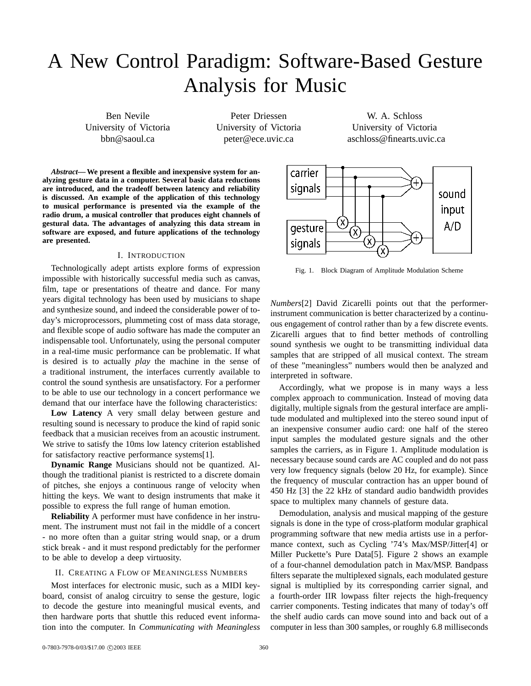# A New Control Paradigm: Software-Based Gesture Analysis for Music

Ben Nevile University of Victoria bbn@saoul.ca

Peter Driessen University of Victoria peter@ece.uvic.ca

W. A. Schloss University of Victoria aschloss@finearts.uvic.ca

*Abstract***— We present a flexible and inexpensive system for analyzing gesture data in a computer. Several basic data reductions are introduced, and the tradeoff between latency and reliability is discussed. An example of the application of this technology to musical performance is presented via the example of the radio drum, a musical controller that produces eight channels of gestural data. The advantages of analyzing this data stream in software are exposed, and future applications of the technology are presented.**

## I. INTRODUCTION

Technologically adept artists explore forms of expression impossible with historically successful media such as canvas, film, tape or presentations of theatre and dance. For many years digital technology has been used by musicians to shape and synthesize sound, and indeed the considerable power of today's microprocessors, plummeting cost of mass data storage, and flexible scope of audio software has made the computer an indispensable tool. Unfortunately, using the personal computer in a real-time music performance can be problematic. If what is desired is to actually *play* the machine in the sense of a traditional instrument, the interfaces currently available to control the sound synthesis are unsatisfactory. For a performer to be able to use our technology in a concert performance we demand that our interface have the following characteristics:

**Low Latency** A very small delay between gesture and resulting sound is necessary to produce the kind of rapid sonic feedback that a musician receives from an acoustic instrument. We strive to satisfy the 10ms low latency criterion established for satisfactory reactive performance systems[1].

**Dynamic Range** Musicians should not be quantized. Although the traditional pianist is restricted to a discrete domain of pitches, she enjoys a continuous range of velocity when hitting the keys. We want to design instruments that make it possible to express the full range of human emotion.

**Reliability** A performer must have confidence in her instrument. The instrument must not fail in the middle of a concert - no more often than a guitar string would snap, or a drum stick break - and it must respond predictably for the performer to be able to develop a deep virtuosity.

## II. CREATING A FLOW OF MEANINGLESS NUMBERS

Most interfaces for electronic music, such as a MIDI keyboard, consist of analog circuitry to sense the gesture, logic to decode the gesture into meaningful musical events, and then hardware ports that shuttle this reduced event information into the computer. In *Communicating with Meaningless*



Fig. 1. Block Diagram of Amplitude Modulation Scheme

*Numbers*[2] David Zicarelli points out that the performerinstrument communication is better characterized by a continuous engagement of control rather than by a few discrete events. Zicarelli argues that to find better methods of controlling sound synthesis we ought to be transmitting individual data samples that are stripped of all musical context. The stream of these "meaningless" numbers would then be analyzed and interpreted in software.

Accordingly, what we propose is in many ways a less complex approach to communication. Instead of moving data digitally, multiple signals from the gestural interface are amplitude modulated and multiplexed into the stereo sound input of an inexpensive consumer audio card: one half of the stereo input samples the modulated gesture signals and the other samples the carriers, as in Figure 1. Amplitude modulation is necessary because sound cards are AC coupled and do not pass very low frequency signals (below 20 Hz, for example). Since the frequency of muscular contraction has an upper bound of 450 Hz [3] the 22 kHz of standard audio bandwidth provides space to multiplex many channels of gesture data.

Demodulation, analysis and musical mapping of the gesture signals is done in the type of cross-platform modular graphical programming software that new media artists use in a performance context, such as Cycling '74's Max/MSP/Jitter[4] or Miller Puckette's Pure Data[5]. Figure 2 shows an example of a four-channel demodulation patch in Max/MSP. Bandpass filters separate the multiplexed signals, each modulated gesture signal is multiplied by its corresponding carrier signal, and a fourth-order IIR lowpass filter rejects the high-frequency carrier components. Testing indicates that many of today's off the shelf audio cards can move sound into and back out of a computer in less than 300 samples, or roughly 6.8 milliseconds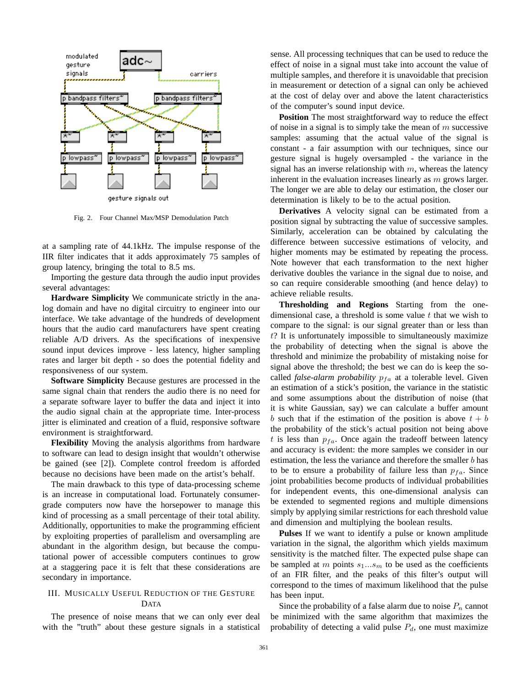

Fig. 2. Four Channel Max/MSP Demodulation Patch

at a sampling rate of 44.1kHz. The impulse response of the IIR filter indicates that it adds approximately 75 samples of group latency, bringing the total to 8.5 ms.

Importing the gesture data through the audio input provides several advantages:

**Hardware Simplicity** We communicate strictly in the analog domain and have no digital circuitry to engineer into our interface. We take advantage of the hundreds of development hours that the audio card manufacturers have spent creating reliable A/D drivers. As the specifications of inexpensive sound input devices improve - less latency, higher sampling rates and larger bit depth - so does the potential fidelity and responsiveness of our system.

**Software Simplicity** Because gestures are processed in the same signal chain that renders the audio there is no need for a separate software layer to buffer the data and inject it into the audio signal chain at the appropriate time. Inter-process jitter is eliminated and creation of a fluid, responsive software environment is straightforward.

**Flexibility** Moving the analysis algorithms from hardware to software can lead to design insight that wouldn't otherwise be gained (see [2]). Complete control freedom is afforded because no decisions have been made on the artist's behalf.

The main drawback to this type of data-processing scheme is an increase in computational load. Fortunately consumergrade computers now have the horsepower to manage this kind of processing as a small percentage of their total ability. Additionally, opportunities to make the programming efficient by exploiting properties of parallelism and oversampling are abundant in the algorithm design, but because the computational power of accessible computers continues to grow at a staggering pace it is felt that these considerations are secondary in importance.

# III. MUSICALLY USEFUL REDUCTION OF THE GESTURE DATA

The presence of noise means that we can only ever deal with the "truth" about these gesture signals in a statistical sense. All processing techniques that can be used to reduce the effect of noise in a signal must take into account the value of multiple samples, and therefore it is unavoidable that precision in measurement or detection of a signal can only be achieved at the cost of delay over and above the latent characteristics of the computer's sound input device.

**Position** The most straightforward way to reduce the effect of noise in a signal is to simply take the mean of  $m$  successive samples: assuming that the actual value of the signal is constant - a fair assumption with our techniques, since our gesture signal is hugely oversampled - the variance in the signal has an inverse relationship with  $m$ , whereas the latency inherent in the evaluation increases linearly as  $m$  grows larger. The longer we are able to delay our estimation, the closer our determination is likely to be to the actual position.

**Derivatives** A velocity signal can be estimated from a position signal by subtracting the value of successive samples. Similarly, acceleration can be obtained by calculating the difference between successive estimations of velocity, and higher moments may be estimated by repeating the process. Note however that each transformation to the next higher derivative doubles the variance in the signal due to noise, and so can require considerable smoothing (and hence delay) to achieve reliable results.

**Thresholding and Regions** Starting from the onedimensional case, a threshold is some value  $t$  that we wish to compare to the signal: is our signal greater than or less than t? It is unfortunately impossible to simultaneously maximize the probability of detecting when the signal is above the threshold and minimize the probability of mistaking noise for signal above the threshold; the best we can do is keep the socalled *false-alarm probability*  $p_{fa}$  at a tolerable level. Given an estimation of a stick's position, the variance in the statistic and some assumptions about the distribution of noise (that it is white Gaussian, say) we can calculate a buffer amount b such that if the estimation of the position is above  $t + b$ the probability of the stick's actual position not being above t is less than  $p_{fa}$ . Once again the tradeoff between latency and accuracy is evident: the more samples we consider in our estimation, the less the variance and therefore the smaller  $b$  has to be to ensure a probability of failure less than  $p_{fa}$ . Since joint probabilities become products of individual probabilities for independent events, this one-dimensional analysis can be extended to segmented regions and multiple dimensions simply by applying similar restrictions for each threshold value and dimension and multiplying the boolean results.

**Pulses** If we want to identify a pulse or known amplitude variation in the signal, the algorithm which yields maximum sensitivity is the matched filter. The expected pulse shape can be sampled at m points  $s_1...s_m$  to be used as the coefficients of an FIR filter, and the peaks of this filter's output will correspond to the times of maximum likelihood that the pulse has been input.

Since the probability of a false alarm due to noise  $P_n$  cannot be minimized with the same algorithm that maximizes the probability of detecting a valid pulse  $P_d$ , one must maximize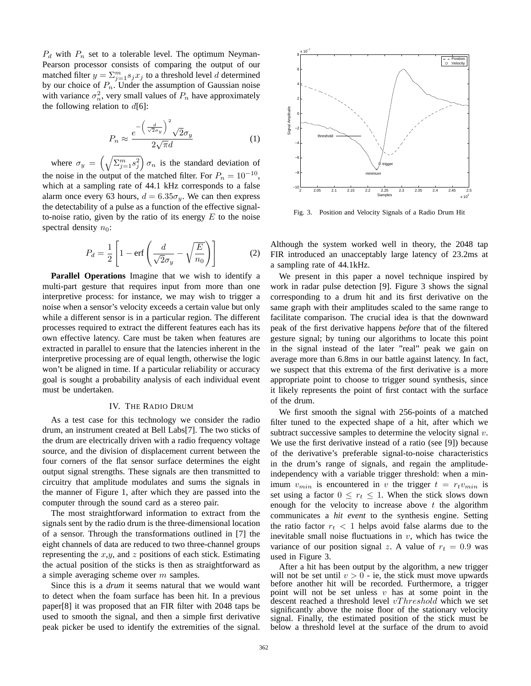$P_d$  with  $P_n$  set to a tolerable level. The optimum Neyman-Pearson processor consists of comparing the output of our matched filter  $y = \sum_{j=1}^{m} s_j x_j$  to a threshold level d determined by our choice of  $P_n$ . Under the assumption of Gaussian noise with variance  $\sigma_n^2$ , very small values of  $P_n$  have approximately the following relation to  $d[6]$ :

$$
P_n \approx \frac{e^{-\left(\frac{d}{\sqrt{2}\sigma_y}\right)^2} \sqrt{2}\sigma_y}{2\sqrt{\pi}d} \tag{1}
$$

where  $\sigma_y = \left(\sqrt{\sum_{j=1}^m s_j^2}\right) \sigma_n$  is the standard deviation of the noise in the output of the matched filter. For  $P_n = 10^{-10}$ , which at a sampling rate of 44.1 kHz corresponds to a false alarm once every 63 hours,  $d = 6.35\sigma_y$ . We can then express the detectability of a pulse as a function of the effective signalto-noise ratio, given by the ratio of its energy  $E$  to the noise spectral density  $n_0$ :

$$
P_d = \frac{1}{2} \left[ 1 - \text{erf}\left( \frac{d}{\sqrt{2}\sigma_y} - \sqrt{\frac{E}{n_0}} \right) \right]
$$
 (2)

**Parallel Operations** Imagine that we wish to identify a multi-part gesture that requires input from more than one interpretive process: for instance, we may wish to trigger a noise when a sensor's velocity exceeds a certain value but only while a different sensor is in a particular region. The different processes required to extract the different features each has its own effective latency. Care must be taken when features are extracted in parallel to ensure that the latencies inherent in the interpretive processing are of equal length, otherwise the logic won't be aligned in time. If a particular reliability or accuracy goal is sought a probability analysis of each individual event must be undertaken.

### IV. THE RADIO DRUM

As a test case for this technology we consider the radio drum, an instrument created at Bell Labs[7]. The two sticks of the drum are electrically driven with a radio frequency voltage source, and the division of displacement current between the four corners of the flat sensor surface determines the eight output signal strengths. These signals are then transmitted to circuitry that amplitude modulates and sums the signals in the manner of Figure 1, after which they are passed into the computer through the sound card as a stereo pair.

The most straightforward information to extract from the signals sent by the radio drum is the three-dimensional location of a sensor. Through the transformations outlined in [7] the eight channels of data are reduced to two three-channel groups representing the  $x,y$ , and z positions of each stick. Estimating the actual position of the sticks is then as straightforward as a simple averaging scheme over  $m$  samples.

Since this is a *drum* it seems natural that we would want to detect when the foam surface has been hit. In a previous paper[8] it was proposed that an FIR filter with 2048 taps be used to smooth the signal, and then a simple first derivative peak picker be used to identify the extremities of the signal.



Fig. 3. Position and Velocity Signals of a Radio Drum Hit

Although the system worked well in theory, the 2048 tap FIR introduced an unacceptably large latency of 23.2ms at a sampling rate of 44.1kHz.

We present in this paper a novel technique inspired by work in radar pulse detection [9]. Figure 3 shows the signal corresponding to a drum hit and its first derivative on the same graph with their amplitudes scaled to the same range to facilitate comparison. The crucial idea is that the downward peak of the first derivative happens *before* that of the filtered gesture signal; by tuning our algorithms to locate this point in the signal instead of the later "real" peak we gain on average more than 6.8ms in our battle against latency. In fact, we suspect that this extrema of the first derivative is a more appropriate point to choose to trigger sound synthesis, since it likely represents the point of first contact with the surface of the drum.

We first smooth the signal with 256-points of a matched filter tuned to the expected shape of a hit, after which we subtract successive samples to determine the velocity signal  $v$ . We use the first derivative instead of a ratio (see [9]) because of the derivative's preferable signal-to-noise characteristics in the drum's range of signals, and regain the amplitudeindependency with a variable trigger threshold: when a minimum  $v_{min}$  is encountered in v the trigger  $t = r_t v_{min}$  is set using a factor  $0 \leq r_t \leq 1$ . When the stick slows down enough for the velocity to increase above  $t$  the algorithm communicates a *hit event* to the synthesis engine. Setting the ratio factor  $r_t < 1$  helps avoid false alarms due to the inevitable small noise fluctuations in  $v$ , which has twice the variance of our position signal z. A value of  $r_t = 0.9$  was used in Figure 3.

After a hit has been output by the algorithm, a new trigger will not be set until  $v > 0$  - ie, the stick must move upwards before another hit will be recorded. Furthermore, a trigger point will not be set unless  $v$  has at some point in the descent reached a threshold level  $vThreshold$  which we set significantly above the noise floor of the stationary velocity signal. Finally, the estimated position of the stick must be below a threshold level at the surface of the drum to avoid